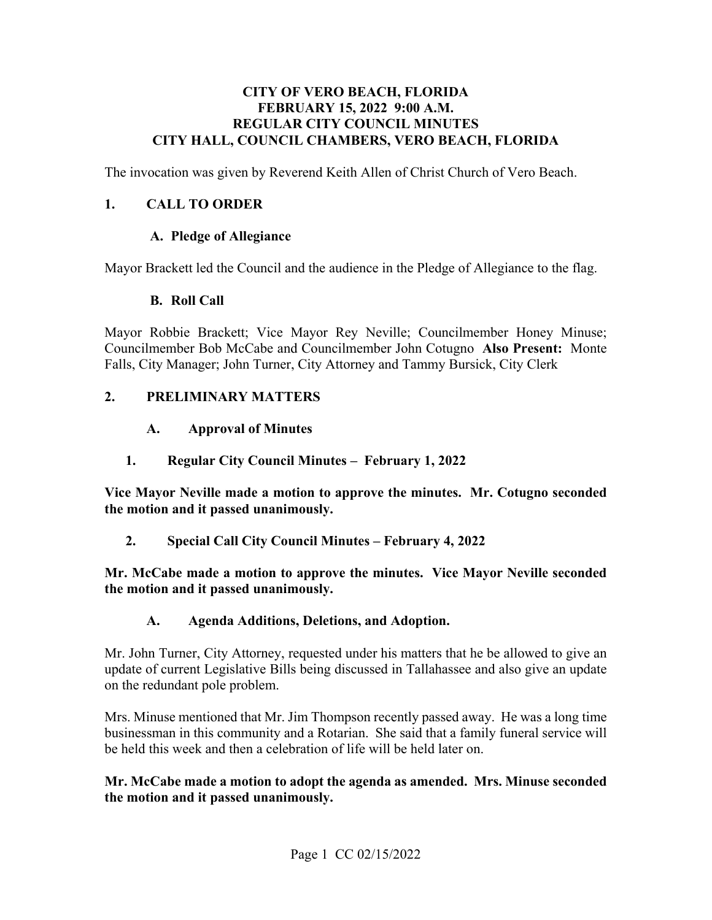#### **CITY OF VERO BEACH, FLORIDA FEBRUARY 15, 2022 9:00 A.M. REGULAR CITY COUNCIL MINUTES CITY HALL, COUNCIL CHAMBERS, VERO BEACH, FLORIDA**

The invocation was given by Reverend Keith Allen of Christ Church of Vero Beach.

#### **1. CALL TO ORDER**

#### **A. Pledge of Allegiance**

Mayor Brackett led the Council and the audience in the Pledge of Allegiance to the flag.

#### **B. Roll Call**

 Councilmember Bob McCabe and Councilmember John Cotugno **Also Present:** Monte Mayor Robbie Brackett; Vice Mayor Rey Neville; Councilmember Honey Minuse; Falls, City Manager; John Turner, City Attorney and Tammy Bursick, City Clerk

#### **2. PRELIMINARY MATTERS**

#### $\mathbf{A}$ . **A. Approval of Minutes**

 **1. Regular City Council Minutes – February 1, 2022** 

**Vice Mayor Neville made a motion to approve the minutes. Mr. Cotugno seconded the motion and it passed unanimously.** 

**2. Special Call City Council Minutes – February 4, 2022** 

**Mr. McCabe made a motion to approve the minutes. Vice Mayor Neville seconded the motion and it passed unanimously.** 

#### **A. Agenda Additions, Deletions, and Adoption.**

 Mr. John Turner, City Attorney, requested under his matters that he be allowed to give an update of current Legislative Bills being discussed in Tallahassee and also give an update on the redundant pole problem.

 businessman in this community and a Rotarian. She said that a family funeral service will Mrs. Minuse mentioned that Mr. Jim Thompson recently passed away. He was a long time be held this week and then a celebration of life will be held later on.

#### **Mr. McCabe made a motion to adopt the agenda as amended. Mrs. Minuse seconded the motion and it passed unanimously.**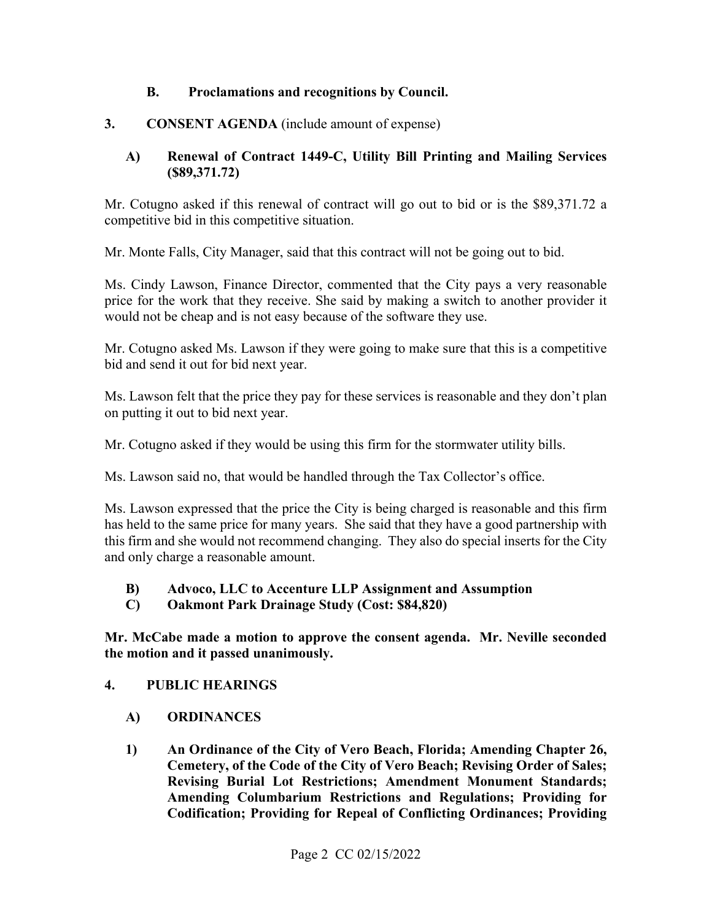#### **B. Proclamations and recognitions by Council.**

#### **3. CONSENT AGENDA** (include amount of expense)

#### **A) Renewal of Contract 1449-C, Utility Bill Printing and Mailing Services ([\\$89,371.72](https://89,371.72))**

competitive bid in this competitive situation. Mr. Cotugno asked if this renewal of contract will go out to bid or is the \$[89,371.72](https://89,371.72) a

competitive bid in this competitive situation.<br>Mr. Monte Falls, City Manager, said that this contract will not be going out to bid.

 Ms. Cindy Lawson, Finance Director, commented that the City pays a very reasonable price for the work that they receive. She said by making a switch to another provider it would not be cheap and is not easy because of the software they use.

Mr. Cotugno asked Ms. Lawson if they were going to make sure that this is a competitive bid and send it out for bid next year.

on putting it out to bid next year. Ms. Lawson felt that the price they pay for these services is reasonable and they don't plan

Mr. Cotugno asked if they would be using this firm for the stormwater utility bills.

Ms. Lawson said no, that would be handled through the Tax Collector's office.

Ms. Lawson said no, that would be handled through the Tax Collector's office.<br>Ms. Lawson expressed that the price the City is being charged is reasonable and this firm has held to the same price for many years. She said that they have a good partnership with this firm and she would not recommend changing. They also do special inserts for the City and only charge a reasonable amount.

#### **B) Advoco, LLC to Accenture LLP Assignment and Assumption**

**C) Oakmont Park Drainage Study (Cost: \$84,820)** 

 **the motion and it passed unanimously. 4. PUBLIC HEARINGS Mr. McCabe made a motion to approve the consent agenda. Mr. Neville seconded** 

- **A) ORDINANCES**
- **1) An Ordinance of the City of Vero Beach, Florida; Amending Chapter 26, Cemetery, of the Code of the City of Vero Beach; Revising Order of Sales; Revising Burial Lot Restrictions; Amendment Monument Standards; Amending Columbarium Restrictions and Regulations; Providing for Codification; Providing for Repeal of Conflicting Ordinances; Providing**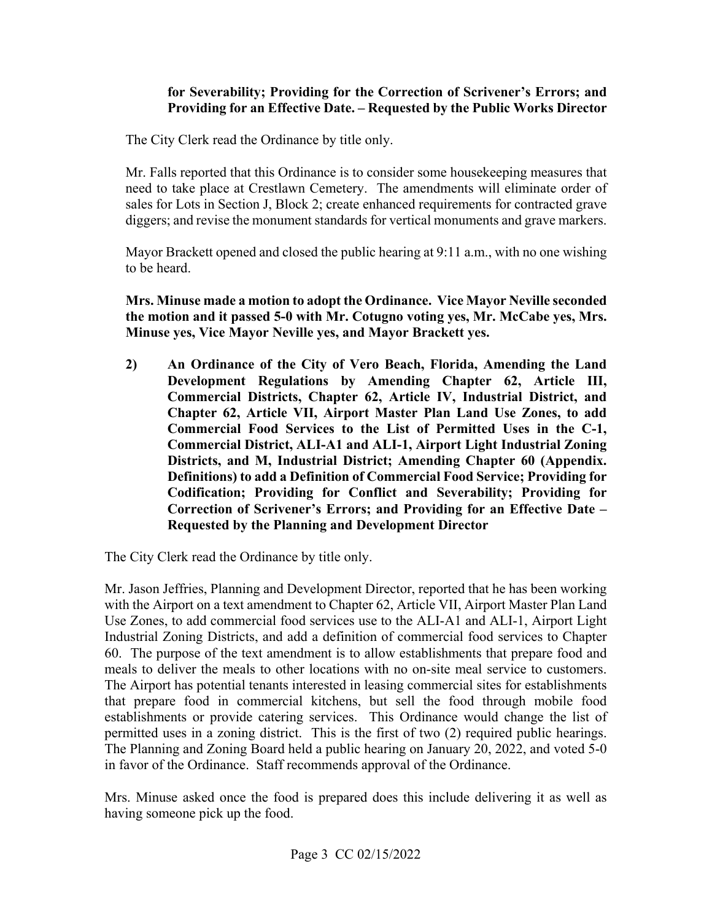#### **Providing for an Effective Date. – Requested by the Public Works Director for Severability; Providing for the Correction of Scrivener's Errors; and**

The City Clerk read the Ordinance by title only.

 Mr. Falls reported that this Ordinance is to consider some housekeeping measures that need to take place at Crestlawn Cemetery. The amendments will eliminate order of sales for Lots in Section J, Block 2; create enhanced requirements for contracted grave diggers; and revise the monument standards for vertical monuments and grave markers.

Mayor Brackett opened and closed the public hearing at 9:11 a.m., with no one wishing to be heard.

**Mrs. Minuse made a motion to adopt the Ordinance. Vice Mayor Neville seconded the motion and it passed 5-0 with Mr. Cotugno voting yes, Mr. McCabe yes, Mrs. Minuse yes, Vice Mayor Neville yes, and Mayor Brackett yes.** 

 **2) An Ordinance of the City of Vero Beach, Florida, Amending the Land Development Regulations by Amending Chapter 62, Article III, Commercial Districts, Chapter 62, Article IV, Industrial District, and Chapter 62, Article VII, Airport Master Plan Land Use Zones, to add Commercial Food Services to the List of Permitted Uses in the C-1, Commercial District, ALI-A1 and ALI-1, Airport Light Industrial Zoning Districts, and M, Industrial District; Amending Chapter 60 (Appendix. Definitions) to add a Definition of Commercial Food Service; Providing for Codification; Providing for Conflict and Severability; Providing for Correction of Scrivener's Errors; and Providing for an Effective Date – Requested by the Planning and Development Director** 

The City Clerk read the Ordinance by title only.

 with the Airport on a text amendment to Chapter 62, Article VII, Airport Master Plan Land meals to deliver the meals to other locations with no on-site meal service to customers. establishments or provide catering services. This Ordinance would change the list of permitted uses in a zoning district. This is the first of two (2) required public hearings. The Planning and Zoning Board held a public hearing on January 20, 2022, and voted 5-0 in favor of the Ordinance. Staff recommends approval of the Ordinance. Mr. Jason Jeffries, Planning and Development Director, reported that he has been working Use Zones, to add commercial food services use to the ALI-A1 and ALI-1, Airport Light Industrial Zoning Districts, and add a definition of commercial food services to Chapter 60. The purpose of the text amendment is to allow establishments that prepare food and The Airport has potential tenants interested in leasing commercial sites for establishments. that prepare food in commercial kitchens, but sell the food through mobile food

Mrs. Minuse asked once the food is prepared does this include delivering it as well as having someone pick up the food.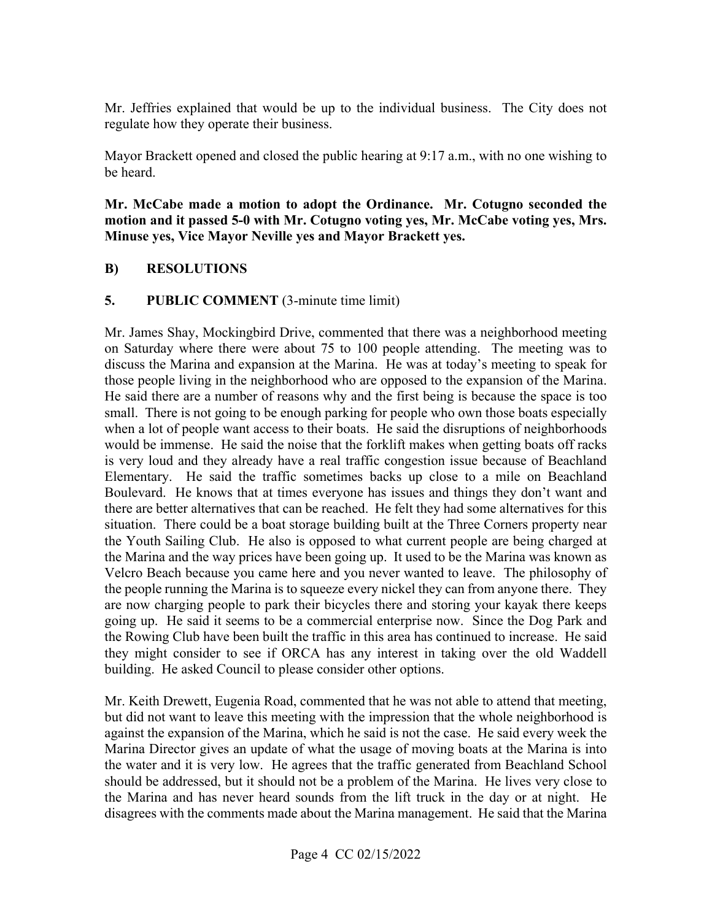Mr. Jeffries explained that would be up to the individual business. The City does not regulate how they operate their business.

Mayor Brackett opened and closed the public hearing at 9:17 a.m., with no one wishing to be heard.

 **Mr. McCabe made a motion to adopt the Ordinance. Mr. Cotugno seconded the motion and it passed 5-0 with Mr. Cotugno voting yes, Mr. McCabe voting yes, Mrs. Minuse yes, Vice Mayor Neville yes and Mayor Brackett yes.** 

#### **B) RESOLUTIONS**

#### **5.** PUBLIC COMMENT (3-minute time limit)

 on Saturday where there were about 75 to 100 people attending. The meeting was to those people living in the neighborhood who are opposed to the expansion of the Marina. small. There is not going to be enough parking for people who own those boats especially when a lot of people want access to their boats. He said the disruptions of neighborhoods situation. There could be a boat storage building built at the Three Corners property near the Youth Sailing Club. He also is opposed to what current people are being charged at the people running the Marina is to squeeze every nickel they can from anyone there. They are now charging people to park their bicycles there and storing your kayak there keeps going up. He said it seems to be a commercial enterprise now. Since the Dog Park and the Rowing Club have been built the traffic in this area has continued to increase. He said they might consider to see if ORCA has any interest in taking over the old Waddell building. He asked Council to please consider other options. Mr. James Shay, Mockingbird Drive, commented that there was a neighborhood meeting discuss the Marina and expansion at the Marina. He was at today's meeting to speak for He said there are a number of reasons why and the first being is because the space is too would be immense. He said the noise that the forklift makes when getting boats off racks is very loud and they already have a real traffic congestion issue because of Beachland Elementary. He said the traffic sometimes backs up close to a mile on Beachland Boulevard. He knows that at times everyone has issues and things they don't want and there are better alternatives that can be reached. He felt they had some alternatives for this the Marina and the way prices have been going up. It used to be the Marina was known as Velcro Beach because you came here and you never wanted to leave. The philosophy of

 against the expansion of the Marina, which he said is not the case. He said every week the the Marina and has never heard sounds from the lift truck in the day or at night. He Mr. Keith Drewett, Eugenia Road, commented that he was not able to attend that meeting, but did not want to leave this meeting with the impression that the whole neighborhood is Marina Director gives an update of what the usage of moving boats at the Marina is into the water and it is very low. He agrees that the traffic generated from Beachland School should be addressed, but it should not be a problem of the Marina. He lives very close to disagrees with the comments made about the Marina management. He said that the Marina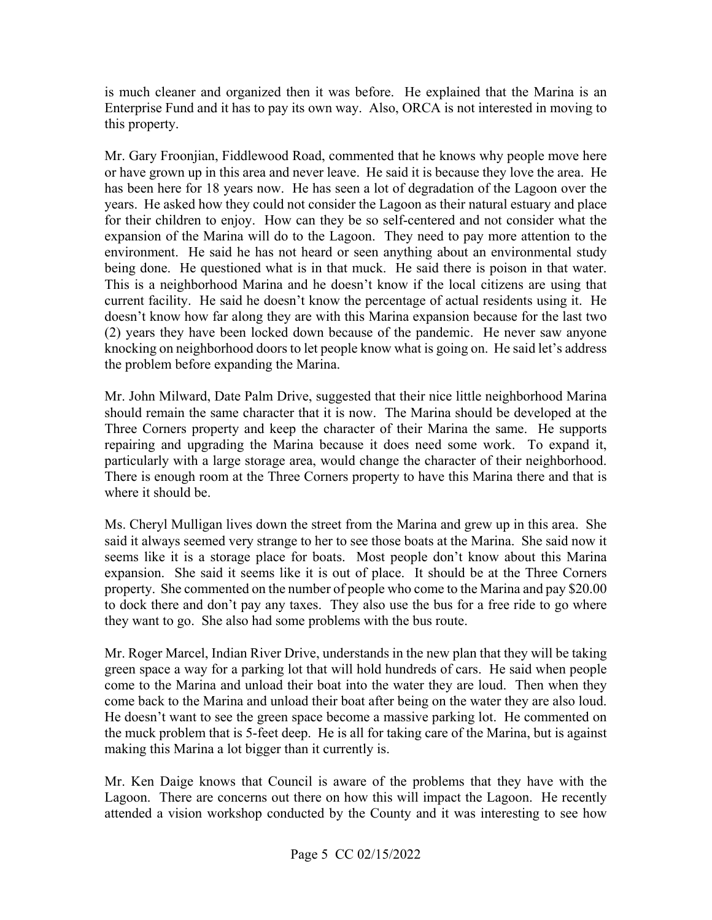Enterprise Fund and it has to pay its own way. Also, ORCA is not interested in moving to this property. is much cleaner and organized then it was before. He explained that the Marina is an

 Mr. Gary Froonjian, Fiddlewood Road, commented that he knows why people move here or have grown up in this area and never leave. He said it is because they love the area. He years. He asked how they could not consider the Lagoon as their natural estuary and place for their children to enjoy. How can they be so self-centered and not consider what the being done. He questioned what is in that muck. He said there is poison in that water. being done. He questioned what is in that muck. He said there is poison in that water. This is a neighborhood Marina and he doesn't know if the local citizens are using that current facility. He said he doesn't know the percentage of actual residents using it. He the problem before expanding the Marina. has been here for 18 years now. He has seen a lot of degradation of the Lagoon over the expansion of the Marina will do to the Lagoon. They need to pay more attention to the environment. He said he has not heard or seen anything about an environmental study doesn't know how far along they are with this Marina expansion because for the last two (2) years they have been locked down because of the pandemic. He never saw anyone knocking on neighborhood doors to let people know what is going on. He said let's address

 Three Corners property and keep the character of their Marina the same. He supports repairing and upgrading the Marina because it does need some work. To expand it, particularly with a large storage area, would change the character of their neighborhood. There is enough room at the Three Corners property to have this Marina there and that is where it should be. Mr. John Milward, Date Palm Drive, suggested that their nice little neighborhood Marina should remain the same character that it is now. The Marina should be developed at the

 Ms. Cheryl Mulligan lives down the street from the Marina and grew up in this area. She said it always seemed very strange to her to see those boats at the Marina. She said now it to dock there and don't pay any taxes. They also use the bus for a free ride to go where they want to go. She also had some problems with the bus route. seems like it is a storage place for boats. Most people don't know about this Marina expansion. She said it seems like it is out of place. It should be at the Three Corners property. She commented on the number of people who come to the Marina and pay \$20.00

 Mr. Roger Marcel, Indian River Drive, understands in the new plan that they will be taking green space a way for a parking lot that will hold hundreds of cars. He said when people come to the Marina and unload their boat into the water they are loud. Then when they the muck problem that is 5-feet deep. He is all for taking care of the Marina, but is against making this Marina a lot bigger than it currently is. come back to the Marina and unload their boat after being on the water they are also loud. He doesn't want to see the green space become a massive parking lot. He commented on

 Lagoon. There are concerns out there on how this will impact the Lagoon. He recently Mr. Ken Daige knows that Council is aware of the problems that they have with the attended a vision workshop conducted by the County and it was interesting to see how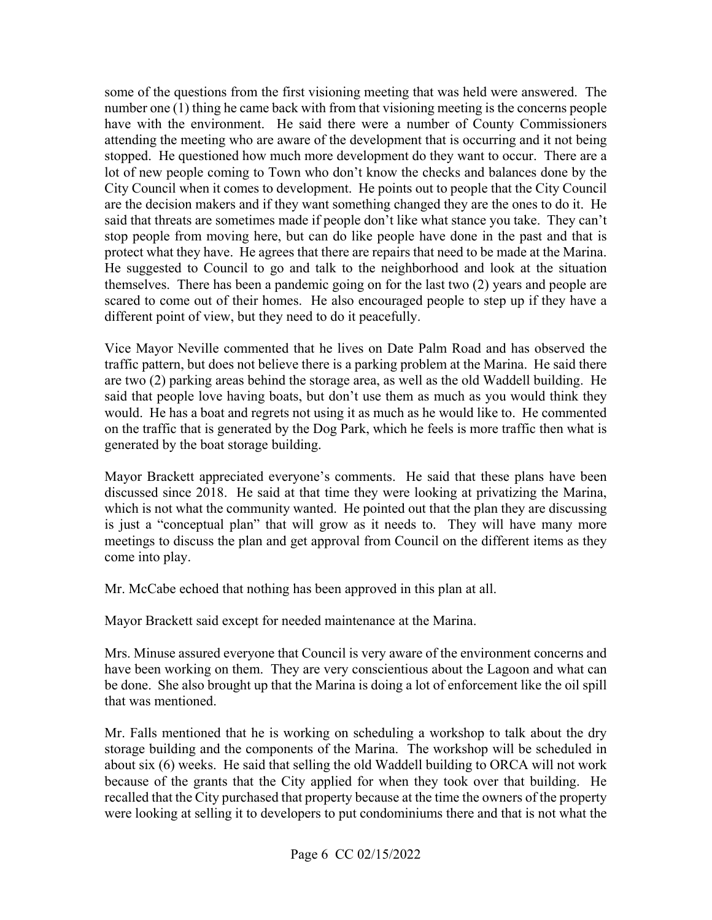some of the questions from the first visioning meeting that was held were answered. The number one (1) thing he came back with from that visioning meeting is the concerns people attending the meeting who are aware of the development that is occurring and it not being stopped. He questioned how much more development do they want to occur. There are a lot of new people coming to Town who don't know the checks and balances done by the are the decision makers and if they want something changed they are the ones to do it. He stop people from moving here, but can do like people have done in the past and that is protect what they have. He agrees that there are repairs that need to be made at the Marina. themselves. There has been a pandemic going on for the last two (2) years and people are scared to come out of their homes. He also encouraged people to step up if they have a different point of view, but they need to do it peacefully. have with the environment. He said there were a number of County Commissioners City Council when it comes to development. He points out to people that the City Council said that threats are sometimes made if people don't like what stance you take. They can't He suggested to Council to go and talk to the neighborhood and look at the situation

 traffic pattern, but does not believe there is a parking problem at the Marina. He said there are two (2) parking areas behind the storage area, as well as the old Waddell building. He said that people love having boats, but don't use them as much as you would think they would. He has a boat and regrets not using it as much as he would like to. He commented Vice Mayor Neville commented that he lives on Date Palm Road and has observed the on the traffic that is generated by the Dog Park, which he feels is more traffic then what is generated by the boat storage building.

 is just a "conceptual plan" that will grow as it needs to. They will have many more meetings to discuss the plan and get approval from Council on the different items as they Mayor Brackett appreciated everyone's comments. He said that these plans have been discussed since 2018. He said at that time they were looking at privatizing the Marina, which is not what the community wanted. He pointed out that the plan they are discussing come into play.

Mr. McCabe echoed that nothing has been approved in this plan at all.

Mayor Brackett said except for needed maintenance at the Marina.

 be done. She also brought up that the Marina is doing a lot of enforcement like the oil spill Mrs. Minuse assured everyone that Council is very aware of the environment concerns and have been working on them. They are very conscientious about the Lagoon and what can that was mentioned.

Mr. Falls mentioned that he is working on scheduling a workshop to talk about the dry storage building and the components of the Marina. The workshop will be scheduled in about six (6) weeks. He said that selling the old Waddell building to ORCA will not work because of the grants that the City applied for when they took over that building. He recalled that the City purchased that property because at the time the owners of the property were looking at selling it to developers to put condominiums there and that is not what the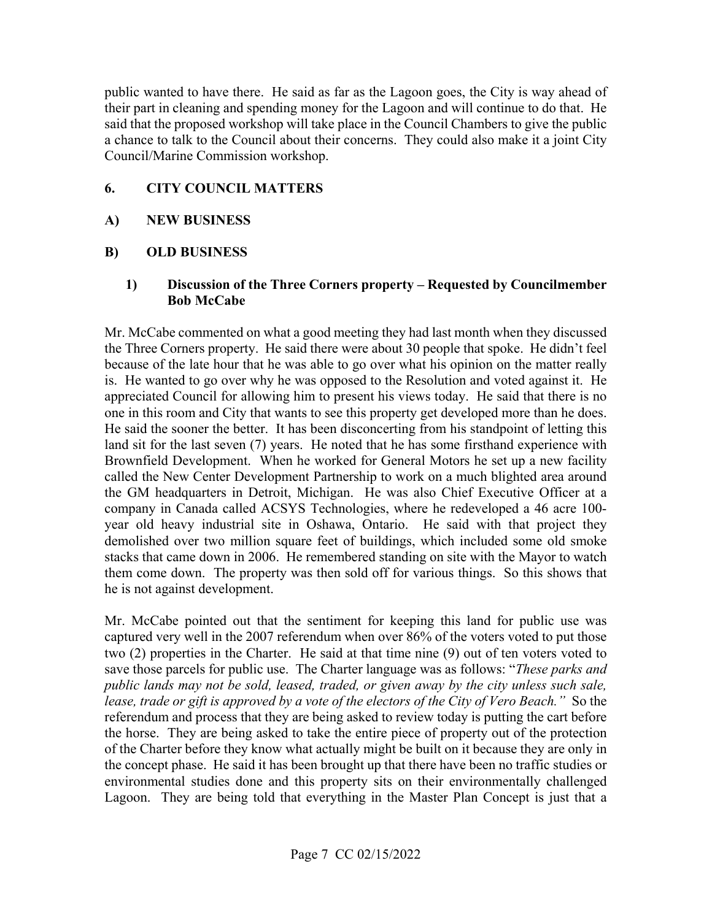said that the proposed workshop will take place in the Council Chambers to give the public public wanted to have there. He said as far as the Lagoon goes, the City is way ahead of their part in cleaning and spending money for the Lagoon and will continue to do that. He a chance to talk to the Council about their concerns. They could also make it a joint City Council/Marine Commission workshop.

#### **6. CITY COUNCIL MATTERS**

#### **A) NEW BUSINESS**

#### **B) OLD BUSINESS**

#### **1) Discussion of the Three Corners property – Requested by Councilmember Bob McCabe**

 because of the late hour that he was able to go over what his opinion on the matter really is. He wanted to go over why he was opposed to the Resolution and voted against it. He land sit for the last seven (7) years. He noted that he has some firsthand experience with stacks that came down in 2006. He remembered standing on site with the Mayor to watch Mr. McCabe commented on what a good meeting they had last month when they discussed the Three Corners property. He said there were about 30 people that spoke. He didn't feel appreciated Council for allowing him to present his views today. He said that there is no one in this room and City that wants to see this property get developed more than he does. He said the sooner the better. It has been disconcerting from his standpoint of letting this Brownfield Development. When he worked for General Motors he set up a new facility called the New Center Development Partnership to work on a much blighted area around the GM headquarters in Detroit, Michigan. He was also Chief Executive Officer at a company in Canada called ACSYS Technologies, where he redeveloped a 46 acre 100 year old heavy industrial site in Oshawa, Ontario. He said with that project they demolished over two million square feet of buildings, which included some old smoke them come down. The property was then sold off for various things. So this shows that he is not against development.

 two (2) properties in the Charter. He said at that time nine (9) out of ten voters voted to  *lease, trade or gift is approved by a vote of the electors of the City of Vero Beach."* So the the horse. They are being asked to take the entire piece of property out of the protection Mr. McCabe pointed out that the sentiment for keeping this land for public use was captured very well in the 2007 referendum when over 86% of the voters voted to put those save those parcels for public use. The Charter language was as follows: "*These parks and public lands may not be sold, leased, traded, or given away by the city unless such sale,*  referendum and process that they are being asked to review today is putting the cart before of the Charter before they know what actually might be built on it because they are only in the concept phase. He said it has been brought up that there have been no traffic studies or environmental studies done and this property sits on their environmentally challenged Lagoon. They are being told that everything in the Master Plan Concept is just that a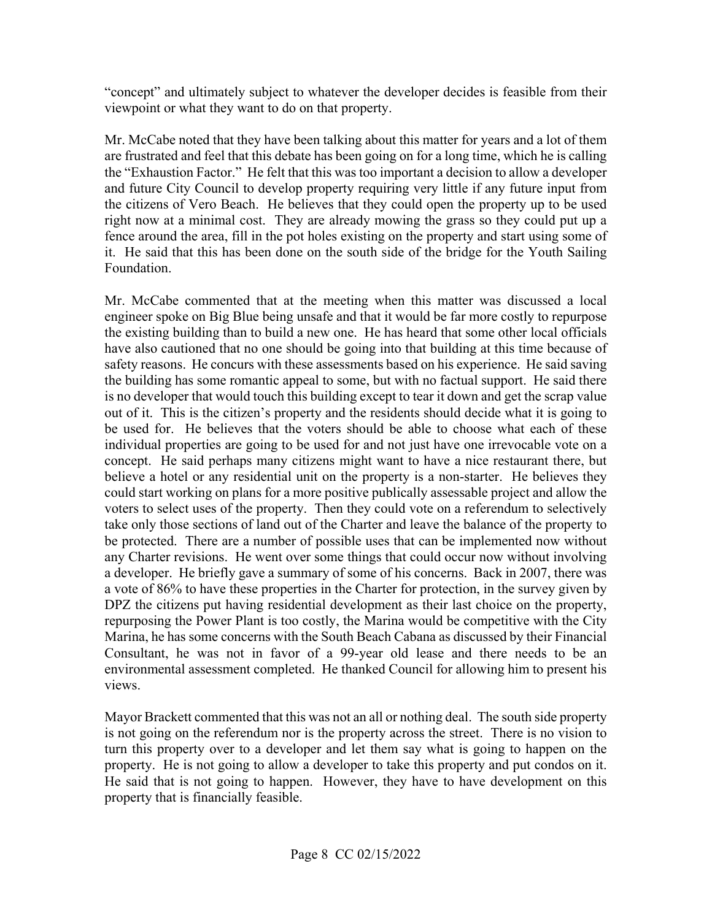"concept" and ultimately subject to whatever the developer decides is feasible from their viewpoint or what they want to do on that property.

 Mr. McCabe noted that they have been talking about this matter for years and a lot of them are frustrated and feel that this debate has been going on for a long time, which he is calling the "Exhaustion Factor." He felt that this was too important a decision to allow a developer the citizens of Vero Beach. He believes that they could open the property up to be used fence around the area, fill in the pot holes existing on the property and start using some of and future City Council to develop property requiring very little if any future input from right now at a minimal cost. They are already mowing the grass so they could put up a it. He said that this has been done on the south side of the bridge for the Youth Sailing Foundation.

 the building has some romantic appeal to some, but with no factual support. He said there concept. He said perhaps many citizens might want to have a nice restaurant there, but believe a hotel or any residential unit on the property is a non-starter. He believes they a developer. He briefly gave a summary of some of his concerns. Back in 2007, there was Consultant, he was not in favor of a 99-year old lease and there needs to be an Mr. McCabe commented that at the meeting when this matter was discussed a local engineer spoke on Big Blue being unsafe and that it would be far more costly to repurpose the existing building than to build a new one. He has heard that some other local officials have also cautioned that no one should be going into that building at this time because of safety reasons. He concurs with these assessments based on his experience. He said saving is no developer that would touch this building except to tear it down and get the scrap value out of it. This is the citizen's property and the residents should decide what it is going to be used for. He believes that the voters should be able to choose what each of these individual properties are going to be used for and not just have one irrevocable vote on a could start working on plans for a more positive publically assessable project and allow the voters to select uses of the property. Then they could vote on a referendum to selectively take only those sections of land out of the Charter and leave the balance of the property to be protected. There are a number of possible uses that can be implemented now without any Charter revisions. He went over some things that could occur now without involving a vote of 86% to have these properties in the Charter for protection, in the survey given by DPZ the citizens put having residential development as their last choice on the property, repurposing the Power Plant is too costly, the Marina would be competitive with the City Marina, he has some concerns with the South Beach Cabana as discussed by their Financial environmental assessment completed. He thanked Council for allowing him to present his views.

property. He is not going to allow a developer to take this property and put condos on it. Mayor Brackett commented that this was not an all or nothing deal. The south side property is not going on the referendum nor is the property across the street. There is no vision to turn this property over to a developer and let them say what is going to happen on the He said that is not going to happen. However, they have to have development on this property that is financially feasible.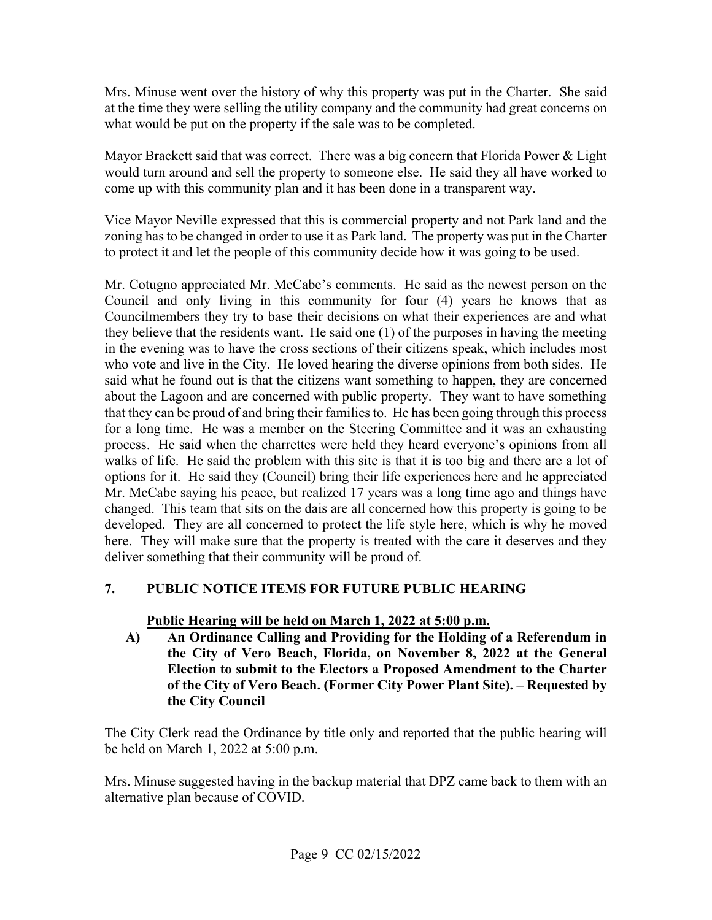Mrs. Minuse went over the history of why this property was put in the Charter. She said at the time they were selling the utility company and the community had great concerns on what would be put on the property if the sale was to be completed.

 come up with this community plan and it has been done in a transparent way. Mayor Brackett said that was correct. There was a big concern that Florida Power & Light would turn around and sell the property to someone else. He said they all have worked to

 zoning has to be changed in order to use it as Park land. The property was put in the Charter to protect it and let the people of this community decide how it was going to be used. Vice Mayor Neville expressed that this is commercial property and not Park land and the

 Mr. Cotugno appreciated Mr. McCabe's comments. He said as the newest person on the they believe that the residents want. He said one (1) of the purposes in having the meeting who vote and live in the City. He loved hearing the diverse opinions from both sides. He for a long time. He was a member on the Steering Committee and it was an exhausting here. They will make sure that the property is treated with the care it deserves and they deliver something that their community will be proud of. Council and only living in this community for four (4) years he knows that as Councilmembers they try to base their decisions on what their experiences are and what in the evening was to have the cross sections of their citizens speak, which includes most said what he found out is that the citizens want something to happen, they are concerned about the Lagoon and are concerned with public property. They want to have something that they can be proud of and bring their families to. He has been going through this process process. He said when the charrettes were held they heard everyone's opinions from all walks of life. He said the problem with this site is that it is too big and there are a lot of options for it. He said they (Council) bring their life experiences here and he appreciated Mr. McCabe saying his peace, but realized 17 years was a long time ago and things have changed. This team that sits on the dais are all concerned how this property is going to be developed. They are all concerned to protect the life style here, which is why he moved

# PUBLIC NOTICE ITEMS FOR FUTURE PUBLIC HEARING **7. PUBLIC NOTICE ITEMS FOR FUTURE PUBLIC HEAI**<br>Public Hearing will be held on March 1, 2022 at 5:00 p.m.

 **Election to submit to the Electors a Proposed Amendment to the Charter A) An Ordinance Calling and Providing for the Holding of a Referendum in the City of Vero Beach, Florida, on November 8, 2022 at the General of the City of Vero Beach. (Former City Power Plant Site). – Requested by the City Council** 

The City Clerk read the Ordinance by title only and reported that the public hearing will be held on March 1, 2022 at 5:00 p.m.

alternative plan because of COVID.<br>Page 9 CC 02/15/2022 Mrs. Minuse suggested having in the backup material that DPZ came back to them with an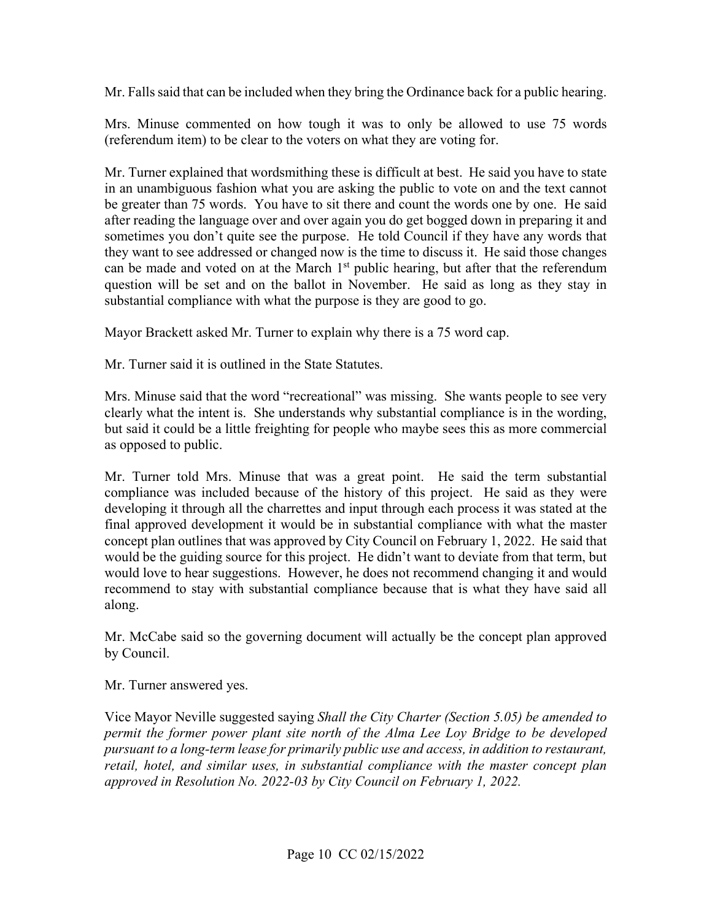Mr. Falls said that can be included when they bring the Ordinance back for a public hearing.

 (referendum item) to be clear to the voters on what they are voting for. Mrs. Minuse commented on how tough it was to only be allowed to use 75 words.

 Mr. Turner explained that wordsmithing these is difficult at best. He said you have to state in an unambiguous fashion what you are asking the public to vote on and the text cannot be greater than 75 words. You have to sit there and count the words one by one. He said after reading the language over and over again you do get bogged down in preparing it and sometimes you don't quite see the purpose. He told Council if they have any words that they want to see addressed or changed now is the time to discuss it. He said those changes can be made and voted on at the March  $1<sup>st</sup>$  public hearing, but after that the referendum question will be set and on the ballot in November. He said as long as they stay in substantial compliance with what the purpose is they are good to go.

Mayor Brackett asked Mr. Turner to explain why there is a 75 word cap.

Mr. Turner said it is outlined in the State Statutes.

Mr. Turner said it is outlined in the State Statutes.<br>Mrs. Minuse said that the word "recreational" was missing. She wants people to see very but said it could be a little freighting for people who maybe sees this as more commercial clearly what the intent is. She understands why substantial compliance is in the wording, as opposed to public.

 Mr. Turner told Mrs. Minuse that was a great point. He said the term substantial concept plan outlines that was approved by City Council on February 1, 2022. He said that would be the guiding source for this project. He didn't want to deviate from that term, but recommend to stay with substantial compliance because that is what they have said all compliance was included because of the history of this project. He said as they were developing it through all the charrettes and input through each process it was stated at the final approved development it would be in substantial compliance with what the master would love to hear suggestions. However, he does not recommend changing it and would along.

Mr. McCabe said so the governing document will actually be the concept plan approved by Council.

Mr. Turner answered yes.

Vice Mayor Neville suggested saying *Shall the City Charter (Section 5.05) be amended to permit the former power plant site north of the Alma Lee Loy Bridge to be developed pursuant to a long-term lease for primarily public use and access, in addition to restaurant, retail, hotel, and similar uses, in substantial compliance with the master concept plan approved in Resolution No. 2022-03 by City Council on February 1, 2022.*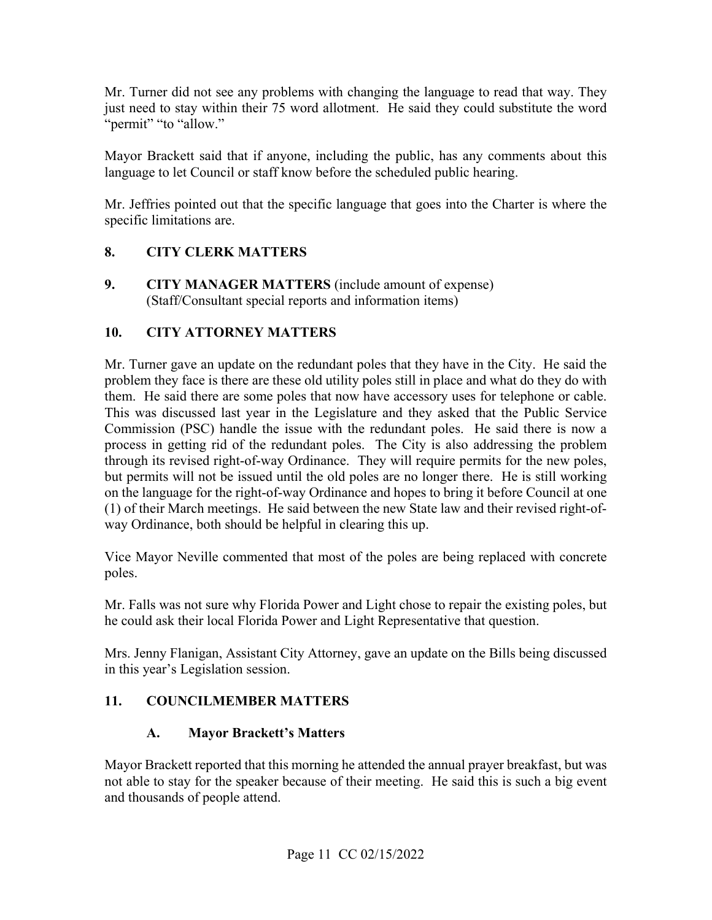Mr. Turner did not see any problems with changing the language to read that way. They "permit" "to "allow." just need to stay within their 75 word allotment. He said they could substitute the word

 language to let Council or staff know before the scheduled public hearing. Mayor Brackett said that if anyone, including the public, has any comments about this

 specific limitations are. Mr. Jeffries pointed out that the specific language that goes into the Charter is where the

## **8. CITY CLERK MATTERS**

 (Staff/Consultant special reports and information items) **9. CITY MANAGER MATTERS** (include amount of expense)

## **10. CITY ATTORNEY MATTERS**

 Mr. Turner gave an update on the redundant poles that they have in the City. He said the problem they face is there are these old utility poles still in place and what do they do with them. He said there are some poles that now have accessory uses for telephone or cable. This was discussed last year in the Legislature and they asked that the Public Service process in getting rid of the redundant poles. The City is also addressing the problem (1) of their March meetings. He said between the new State law and their revised right-of-Commission (PSC) handle the issue with the redundant poles. He said there is now a through its revised right-of-way Ordinance. They will require permits for the new poles, but permits will not be issued until the old poles are no longer there. He is still working on the language for the right-of-way Ordinance and hopes to bring it before Council at one way Ordinance, both should be helpful in clearing this up.

Vice Mayor Neville commented that most of the poles are being replaced with concrete poles.

he could ask their local Florida Power and Light Representative that question. Mr. Falls was not sure why Florida Power and Light chose to repair the existing poles, but

he could ask their local Florida Power and Light Representative that question.<br>Mrs. Jenny Flanigan, Assistant City Attorney, gave an update on the Bills being discussed in this year's Legislation session.

#### **11. COUNCILMEMBER MATTERS**

# **A. Mayor Brackett's Matters**

 Mayor Brackett reported that this morning he attended the annual prayer breakfast, but was and thousands of people attend. not able to stay for the speaker because of their meeting. He said this is such a big event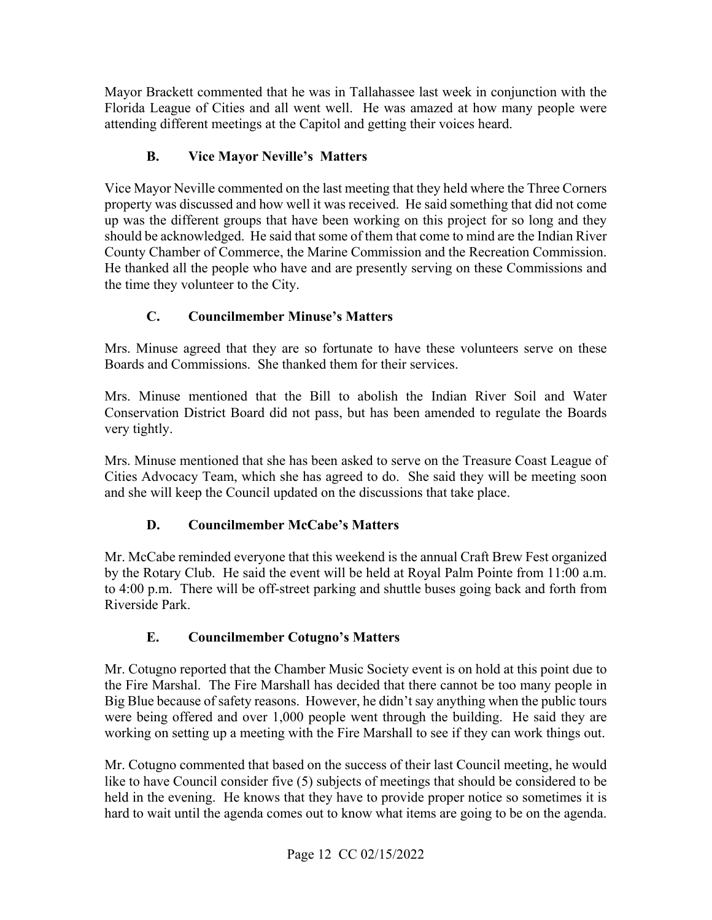Florida League of Cities and all went well. He was amazed at how many people were Mayor Brackett commented that he was in Tallahassee last week in conjunction with the attending different meetings at the Capitol and getting their voices heard.

# **B. Vice Mayor Neville's Matters**

 property was discussed and how well it was received. He said something that did not come Vice Mayor Neville commented on the last meeting that they held where the Three Corners up was the different groups that have been working on this project for so long and they should be acknowledged. He said that some of them that come to mind are the Indian River County Chamber of Commerce, the Marine Commission and the Recreation Commission. He thanked all the people who have and are presently serving on these Commissions and the time they volunteer to the City.

# **C. Councilmember Minuse's Matters**

Mrs. Minuse agreed that they are so fortunate to have these volunteers serve on these Boards and Commissions. She thanked them for their services.

 Mrs. Minuse mentioned that the Bill to abolish the Indian River Soil and Water Conservation District Board did not pass, but has been amended to regulate the Boards very tightly.

 Cities Advocacy Team, which she has agreed to do. She said they will be meeting soon Mrs. Minuse mentioned that she has been asked to serve on the Treasure Coast League of and she will keep the Council updated on the discussions that take place.

# **D. Councilmember McCabe's Matters**

 Riverside Park. Mr. McCabe reminded everyone that this weekend is the annual Craft Brew Fest organized by the Rotary Club. He said the event will be held at Royal Palm Pointe from 11:00 a.m. to 4:00 p.m. There will be off-street parking and shuttle buses going back and forth from

# **E. Councilmember Cotugno's Matters**

 the Fire Marshal. The Fire Marshall has decided that there cannot be too many people in Big Blue because of safety reasons. However, he didn't say anything when the public tours working on setting up a meeting with the Fire Marshall to see if they can work things out. Mr. Cotugno reported that the Chamber Music Society event is on hold at this point due to were being offered and over 1,000 people went through the building. He said they are

 Mr. Cotugno commented that based on the success of their last Council meeting, he would like to have Council consider five (5) subjects of meetings that should be considered to be held in the evening. He knows that they have to provide proper notice so sometimes it is hard to wait until the agenda comes out to know what items are going to be on the agenda.